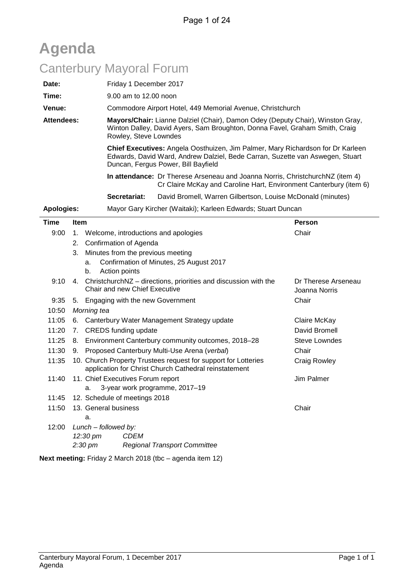| <b>Agenda</b>                   |                   |             |                                                                                                                                                                                        |                                                                                                                                                                  |  |  |  |  |
|---------------------------------|-------------------|-------------|----------------------------------------------------------------------------------------------------------------------------------------------------------------------------------------|------------------------------------------------------------------------------------------------------------------------------------------------------------------|--|--|--|--|
| <b>Canterbury Mayoral Forum</b> |                   |             |                                                                                                                                                                                        |                                                                                                                                                                  |  |  |  |  |
|                                 | Date:             |             | Friday 1 December 2017                                                                                                                                                                 |                                                                                                                                                                  |  |  |  |  |
|                                 | Time:             |             | 9.00 am to 12.00 noon                                                                                                                                                                  |                                                                                                                                                                  |  |  |  |  |
|                                 | Venue:            |             | Commodore Airport Hotel, 449 Memorial Avenue, Christchurch                                                                                                                             |                                                                                                                                                                  |  |  |  |  |
|                                 | <b>Attendees:</b> |             | Mayors/Chair: Lianne Dalziel (Chair), Damon Odey (Deputy Chair), Winston Gray,<br>Winton Dalley, David Ayers, Sam Broughton, Donna Favel, Graham Smith, Craig<br>Rowley, Steve Lowndes |                                                                                                                                                                  |  |  |  |  |
|                                 |                   |             | Duncan, Fergus Power, Bill Bayfield                                                                                                                                                    | Chief Executives: Angela Oosthuizen, Jim Palmer, Mary Richardson for Dr Karleen<br>Edwards, David Ward, Andrew Dalziel, Bede Carran, Suzette van Aswegen, Stuart |  |  |  |  |
|                                 |                   |             |                                                                                                                                                                                        | In attendance: Dr Therese Arseneau and Joanna Norris, Christchurch NZ (item 4)<br>Cr Claire McKay and Caroline Hart, Environment Canterbury (item 6)             |  |  |  |  |
|                                 |                   |             | Secretariat:                                                                                                                                                                           | David Bromell, Warren Gilbertson, Louise McDonald (minutes)                                                                                                      |  |  |  |  |
|                                 | <b>Apologies:</b> |             | Mayor Gary Kircher (Waitaki); Karleen Edwards; Stuart Duncan                                                                                                                           |                                                                                                                                                                  |  |  |  |  |
|                                 | Time              | <b>Item</b> |                                                                                                                                                                                        | <b>Person</b>                                                                                                                                                    |  |  |  |  |
|                                 | 9:00<br>1.        |             | Welcome, introductions and apologies                                                                                                                                                   | Chair                                                                                                                                                            |  |  |  |  |
|                                 |                   | 2.          | Confirmation of Agenda                                                                                                                                                                 |                                                                                                                                                                  |  |  |  |  |
|                                 |                   | 3.          | Minutes from the previous meeting                                                                                                                                                      |                                                                                                                                                                  |  |  |  |  |
|                                 |                   |             | Confirmation of Minutes, 25 August 2017<br>a.<br>Action points<br>b.                                                                                                                   |                                                                                                                                                                  |  |  |  |  |
|                                 | 9:10              | 4.          | ChristchurchNZ - directions, priorities and discussion with the<br>Chair and new Chief Executive                                                                                       | Dr Therese Arseneau<br>Joanna Norris                                                                                                                             |  |  |  |  |

Joanna Norris 9:35 5. Engaging with the new Government Chair 10:50 *Morning tea* 11:05 6. Canterbury Water Management Strategy update Claire McKay 11:20 7. CREDS funding update David Bromell 11:25 8. Environment Canterbury community outcomes, 2018–28 Steve Lowndes 11:30 9. Proposed Canterbury Multi-Use Arena (*verbal*) Chair 11:35 10. Church Property Trustees request for support for Lotteries application for Christ Church Cathedral reinstatement Craig Rowley 11:40 11. Chief Executives Forum report a. 3-year work programme, 2017–19 Jim Palmer 11:45 12. Schedule of meetings 2018 11:50 13. General business a. **Chair** 12:00 *Lunch – followed by: 12:30 pm CDEM 2:30 pm Regional Transport Committee*

**Next meeting:** Friday 2 March 2018 (tbc – agenda item 12)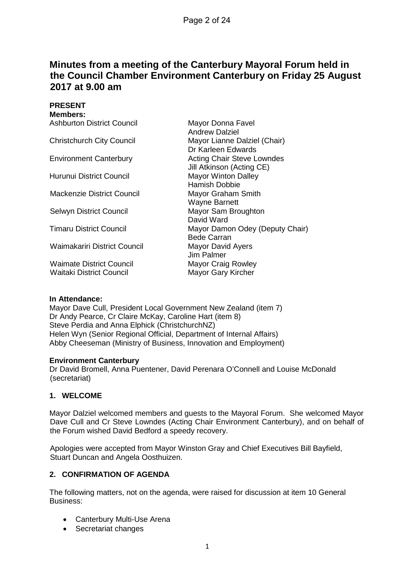### **Minutes from a meeting of the Canterbury Mayoral Forum held in the Council Chamber Environment Canterbury on Friday 25 August 2017 at 9.00 am**

**PRESENT**

| <b>Members:</b>                   |                                                    |
|-----------------------------------|----------------------------------------------------|
| <b>Ashburton District Council</b> | Mayor Donna Favel                                  |
|                                   | <b>Andrew Dalziel</b>                              |
| <b>Christchurch City Council</b>  | Mayor Lianne Dalziel (Chair)<br>Dr Karleen Edwards |
| <b>Environment Canterbury</b>     | <b>Acting Chair Steve Lowndes</b>                  |
|                                   | Jill Atkinson (Acting CE)                          |
| Hurunui District Council          | <b>Mayor Winton Dalley</b>                         |
|                                   | Hamish Dobbie                                      |
| Mackenzie District Council        | Mayor Graham Smith                                 |
|                                   | <b>Wayne Barnett</b>                               |
| Selwyn District Council           | Mayor Sam Broughton                                |
|                                   | David Ward                                         |
| Timaru District Council           | Mayor Damon Odey (Deputy Chair)                    |
|                                   | <b>Bede Carran</b>                                 |
| Waimakariri District Council      | <b>Mayor David Ayers</b>                           |
|                                   | Jim Palmer                                         |
| <b>Waimate District Council</b>   | <b>Mayor Craig Rowley</b>                          |
| <b>Waitaki District Council</b>   | Mayor Gary Kircher                                 |
|                                   |                                                    |

#### **In Attendance:**

Mayor Dave Cull, President Local Government New Zealand (item 7) Dr Andy Pearce, Cr Claire McKay, Caroline Hart (item 8) Steve Perdia and Anna Elphick (ChristchurchNZ) Helen Wyn (Senior Regional Official, Department of Internal Affairs) Abby Cheeseman (Ministry of Business, Innovation and Employment)

#### **Environment Canterbury**

Dr David Bromell, Anna Puentener, David Perenara O'Connell and Louise McDonald (secretariat)

#### **1. WELCOME**

Mayor Dalziel welcomed members and guests to the Mayoral Forum. She welcomed Mayor Dave Cull and Cr Steve Lowndes (Acting Chair Environment Canterbury), and on behalf of the Forum wished David Bedford a speedy recovery.

Apologies were accepted from Mayor Winston Gray and Chief Executives Bill Bayfield, Stuart Duncan and Angela Oosthuizen.

#### **2. CONFIRMATION OF AGENDA**

The following matters, not on the agenda, were raised for discussion at item 10 General Business:

- Canterbury Multi-Use Arena
- Secretariat changes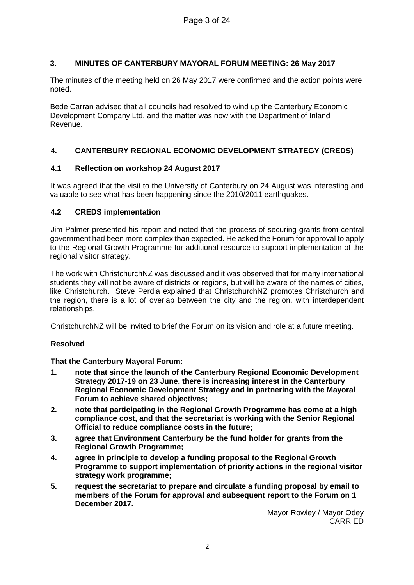#### **3. MINUTES OF CANTERBURY MAYORAL FORUM MEETING: 26 May 2017**

The minutes of the meeting held on 26 May 2017 were confirmed and the action points were noted.

Bede Carran advised that all councils had resolved to wind up the Canterbury Economic Development Company Ltd, and the matter was now with the Department of Inland Revenue.

#### **4. CANTERBURY REGIONAL ECONOMIC DEVELOPMENT STRATEGY (CREDS)**

#### **4.1 Reflection on workshop 24 August 2017**

It was agreed that the visit to the University of Canterbury on 24 August was interesting and valuable to see what has been happening since the 2010/2011 earthquakes.

#### **4.2 CREDS implementation**

Jim Palmer presented his report and noted that the process of securing grants from central government had been more complex than expected. He asked the Forum for approval to apply to the Regional Growth Programme for additional resource to support implementation of the regional visitor strategy.

The work with ChristchurchNZ was discussed and it was observed that for many international students they will not be aware of districts or regions, but will be aware of the names of cities, like Christchurch. Steve Perdia explained that ChristchurchNZ promotes Christchurch and the region, there is a lot of overlap between the city and the region, with interdependent relationships.

ChristchurchNZ will be invited to brief the Forum on its vision and role at a future meeting.

#### **Resolved**

#### **That the Canterbury Mayoral Forum:**

- **1. note that since the launch of the Canterbury Regional Economic Development Strategy 2017-19 on 23 June, there is increasing interest in the Canterbury Regional Economic Development Strategy and in partnering with the Mayoral Forum to achieve shared objectives;**
- **2. note that participating in the Regional Growth Programme has come at a high compliance cost, and that the secretariat is working with the Senior Regional Official to reduce compliance costs in the future;**
- **3. agree that Environment Canterbury be the fund holder for grants from the Regional Growth Programme;**
- **4. agree in principle to develop a funding proposal to the Regional Growth Programme to support implementation of priority actions in the regional visitor strategy work programme;**
- **5. request the secretariat to prepare and circulate a funding proposal by email to members of the Forum for approval and subsequent report to the Forum on 1 December 2017.**

Mayor Rowley / Mayor Odey CARRIED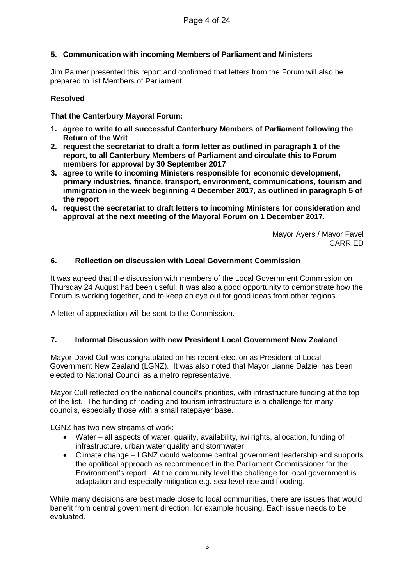#### **5. Communication with incoming Members of Parliament and Ministers**

Jim Palmer presented this report and confirmed that letters from the Forum will also be prepared to list Members of Parliament.

#### **Resolved**

#### **That the Canterbury Mayoral Forum:**

- **1. agree to write to all successful Canterbury Members of Parliament following the Return of the Writ**
- **2. request the secretariat to draft a form letter as outlined in paragraph 1 of the report, to all Canterbury Members of Parliament and circulate this to Forum members for approval by 30 September 2017**
- **3. agree to write to incoming Ministers responsible for economic development, primary industries, finance, transport, environment, communications, tourism and immigration in the week beginning 4 December 2017, as outlined in paragraph 5 of the report**
- **4. request the secretariat to draft letters to incoming Ministers for consideration and approval at the next meeting of the Mayoral Forum on 1 December 2017.**

Mayor Ayers / Mayor Favel CARRIED

#### **6. Reflection on discussion with Local Government Commission**

It was agreed that the discussion with members of the Local Government Commission on Thursday 24 August had been useful. It was also a good opportunity to demonstrate how the Forum is working together, and to keep an eye out for good ideas from other regions.

A letter of appreciation will be sent to the Commission.

#### **7. Informal Discussion with new President Local Government New Zealand**

Mayor David Cull was congratulated on his recent election as President of Local Government New Zealand (LGNZ). It was also noted that Mayor Lianne Dalziel has been elected to National Council as a metro representative.

Mayor Cull reflected on the national council's priorities, with infrastructure funding at the top of the list. The funding of roading and tourism infrastructure is a challenge for many councils, especially those with a small ratepayer base.

LGNZ has two new streams of work:

- Water all aspects of water: quality, availability, iwi rights, allocation, funding of infrastructure, urban water quality and stormwater.
- Climate change LGNZ would welcome central government leadership and supports the apolitical approach as recommended in the Parliament Commissioner for the Environment's report. At the community level the challenge for local government is adaptation and especially mitigation e.g. sea-level rise and flooding.

While many decisions are best made close to local communities, there are issues that would benefit from central government direction, for example housing. Each issue needs to be evaluated.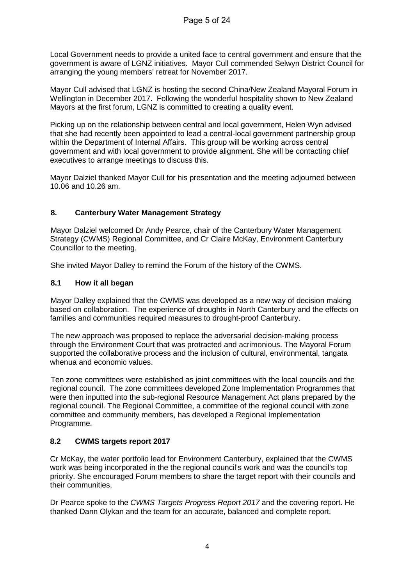Local Government needs to provide a united face to central government and ensure that the government is aware of LGNZ initiatives. Mayor Cull commended Selwyn District Council for arranging the young members' retreat for November 2017.

Mayor Cull advised that LGNZ is hosting the second China/New Zealand Mayoral Forum in Wellington in December 2017. Following the wonderful hospitality shown to New Zealand Mayors at the first forum, LGNZ is committed to creating a quality event.

Picking up on the relationship between central and local government, Helen Wyn advised that she had recently been appointed to lead a central-local government partnership group within the Department of Internal Affairs. This group will be working across central government and with local government to provide alignment. She will be contacting chief executives to arrange meetings to discuss this.

Mayor Dalziel thanked Mayor Cull for his presentation and the meeting adjourned between 10.06 and 10.26 am.

#### **8. Canterbury Water Management Strategy**

Mayor Dalziel welcomed Dr Andy Pearce, chair of the Canterbury Water Management Strategy (CWMS) Regional Committee, and Cr Claire McKay, Environment Canterbury Councillor to the meeting.

She invited Mayor Dalley to remind the Forum of the history of the CWMS.

#### **8.1 How it all began**

Mayor Dalley explained that the CWMS was developed as a new way of decision making based on collaboration. The experience of droughts in North Canterbury and the effects on families and communities required measures to drought-proof Canterbury.

The new approach was proposed to replace the adversarial decision-making process through the Environment Court that was protracted and acrimonious. The Mayoral Forum supported the collaborative process and the inclusion of cultural, environmental, tangata whenua and economic values.

Ten zone committees were established as joint committees with the local councils and the regional council. The zone committees developed Zone Implementation Programmes that were then inputted into the sub-regional Resource Management Act plans prepared by the regional council. The Regional Committee, a committee of the regional council with zone committee and community members, has developed a Regional Implementation Programme.

#### **8.2 CWMS targets report 2017**

Cr McKay, the water portfolio lead for Environment Canterbury, explained that the CWMS work was being incorporated in the the regional council's work and was the council's top priority. She encouraged Forum members to share the target report with their councils and their communities.

Dr Pearce spoke to the *CWMS Targets Progress Report 2017* and the covering report. He thanked Dann Olykan and the team for an accurate, balanced and complete report.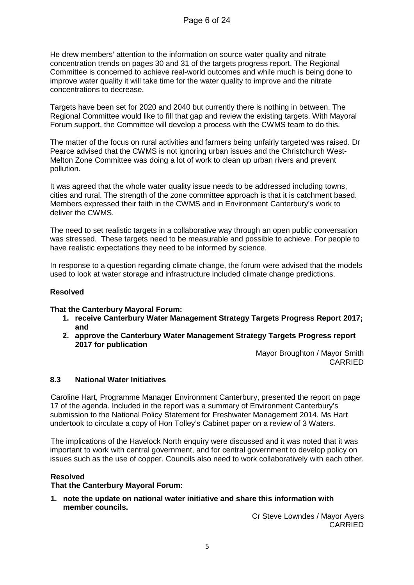He drew members' attention to the information on source water quality and nitrate concentration trends on pages 30 and 31 of the targets progress report. The Regional Committee is concerned to achieve real-world outcomes and while much is being done to improve water quality it will take time for the water quality to improve and the nitrate concentrations to decrease.

Targets have been set for 2020 and 2040 but currently there is nothing in between. The Regional Committee would like to fill that gap and review the existing targets. With Mayoral Forum support, the Committee will develop a process with the CWMS team to do this.

The matter of the focus on rural activities and farmers being unfairly targeted was raised. Dr Pearce advised that the CWMS is not ignoring urban issues and the Christchurch West-Melton Zone Committee was doing a lot of work to clean up urban rivers and prevent pollution.

It was agreed that the whole water quality issue needs to be addressed including towns, cities and rural. The strength of the zone committee approach is that it is catchment based. Members expressed their faith in the CWMS and in Environment Canterbury's work to deliver the CWMS.

The need to set realistic targets in a collaborative way through an open public conversation was stressed. These targets need to be measurable and possible to achieve. For people to have realistic expectations they need to be informed by science.

In response to a question regarding climate change, the forum were advised that the models used to look at water storage and infrastructure included climate change predictions.

#### **Resolved**

#### **That the Canterbury Mayoral Forum:**

- **1. receive Canterbury Water Management Strategy Targets Progress Report 2017; and**
- **2. approve the Canterbury Water Management Strategy Targets Progress report 2017 for publication**

Mayor Broughton / Mayor Smith CARRIED

#### **8.3 National Water Initiatives**

Caroline Hart, Programme Manager Environment Canterbury, presented the report on page 17 of the agenda. Included in the report was a summary of Environment Canterbury's submission to the National Policy Statement for Freshwater Management 2014. Ms Hart undertook to circulate a copy of Hon Tolley's Cabinet paper on a review of 3 Waters.

The implications of the Havelock North enquiry were discussed and it was noted that it was important to work with central government, and for central government to develop policy on issues such as the use of copper. Councils also need to work collaboratively with each other.

#### **Resolved**

#### **That the Canterbury Mayoral Forum:**

**1. note the update on national water initiative and share this information with member councils.**

Cr Steve Lowndes / Mayor Ayers CARRIED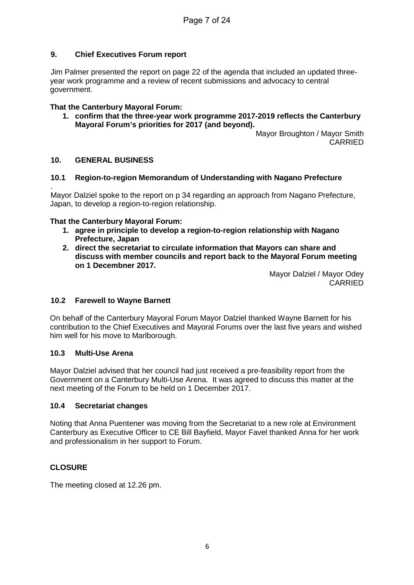#### **9. Chief Executives Forum report**

Jim Palmer presented the report on page 22 of the agenda that included an updated threeyear work programme and a review of recent submissions and advocacy to central government.

#### **That the Canterbury Mayoral Forum:**

**1. confirm that the three-year work programme 2017-2019 reflects the Canterbury Mayoral Forum's priorities for 2017 (and beyond).**

Mayor Broughton / Mayor Smith CARRIED

#### **10. GENERAL BUSINESS**

#### **10.1 Region-to-region Memorandum of Understanding with Nagano Prefecture**

. Mayor Dalziel spoke to the report on p 34 regarding an approach from Nagano Prefecture, Japan, to develop a region-to-region relationship.

#### **That the Canterbury Mayoral Forum:**

- **1. agree in principle to develop a region-to-region relationship with Nagano Prefecture, Japan**
- **2. direct the secretariat to circulate information that Mayors can share and discuss with member councils and report back to the Mayoral Forum meeting on 1 Decembner 2017.**

Mayor Dalziel / Mayor Odey CARRIED

#### **10.2 Farewell to Wayne Barnett**

On behalf of the Canterbury Mayoral Forum Mayor Dalziel thanked Wayne Barnett for his contribution to the Chief Executives and Mayoral Forums over the last five years and wished him well for his move to Marlborough.

#### **10.3 Multi-Use Arena**

Mayor Dalziel advised that her council had just received a pre-feasibility report from the Government on a Canterbury Multi-Use Arena. It was agreed to discuss this matter at the next meeting of the Forum to be held on 1 December 2017.

#### **10.4 Secretariat changes**

Noting that Anna Puentener was moving from the Secretariat to a new role at Environment Canterbury as Executive Officer to CE Bill Bayfield, Mayor Favel thanked Anna for her work and professionalism in her support to Forum.

#### **CLOSURE**

The meeting closed at 12.26 pm.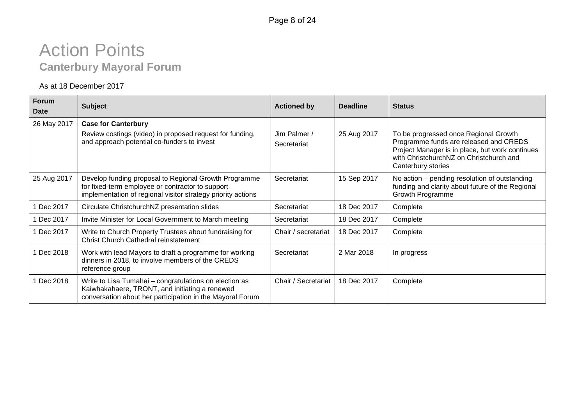# Action Points **Canterbury Mayoral Forum**

#### As at 18 December 2017

| <b>Forum</b><br>Date | <b>Subject</b>                                                                                                                                                            | <b>Actioned by</b>          | <b>Deadline</b> | <b>Status</b>                                                                                                                                                                                       |
|----------------------|---------------------------------------------------------------------------------------------------------------------------------------------------------------------------|-----------------------------|-----------------|-----------------------------------------------------------------------------------------------------------------------------------------------------------------------------------------------------|
| 26 May 2017          | <b>Case for Canterbury</b>                                                                                                                                                |                             |                 |                                                                                                                                                                                                     |
|                      | Review costings (video) in proposed request for funding,<br>and approach potential co-funders to invest                                                                   | Jim Palmer /<br>Secretariat | 25 Aug 2017     | To be progressed once Regional Growth<br>Programme funds are released and CREDS<br>Project Manager is in place, but work continues<br>with ChristchurchNZ on Christchurch and<br>Canterbury stories |
| 25 Aug 2017          | Develop funding proposal to Regional Growth Programme<br>for fixed-term employee or contractor to support<br>implementation of regional visitor strategy priority actions | Secretariat                 | 15 Sep 2017     | No action – pending resolution of outstanding<br>funding and clarity about future of the Regional<br>Growth Programme                                                                               |
| 1 Dec 2017           | Circulate ChristchurchNZ presentation slides                                                                                                                              | Secretariat                 | 18 Dec 2017     | Complete                                                                                                                                                                                            |
| 1 Dec 2017           | Invite Minister for Local Government to March meeting                                                                                                                     | Secretariat                 | 18 Dec 2017     | Complete                                                                                                                                                                                            |
| 1 Dec 2017           | Write to Church Property Trustees about fundraising for<br><b>Christ Church Cathedral reinstatement</b>                                                                   | Chair / secretariat         | 18 Dec 2017     | Complete                                                                                                                                                                                            |
| 1 Dec 2018           | Work with lead Mayors to draft a programme for working<br>dinners in 2018, to involve members of the CREDS<br>reference group                                             | Secretariat                 | 2 Mar 2018      | In progress                                                                                                                                                                                         |
| 1 Dec 2018           | Write to Lisa Tumahai - congratulations on election as<br>Kaiwhakahaere, TRONT, and initiating a renewed<br>conversation about her participation in the Mayoral Forum     | Chair / Secretariat         | 18 Dec 2017     | Complete                                                                                                                                                                                            |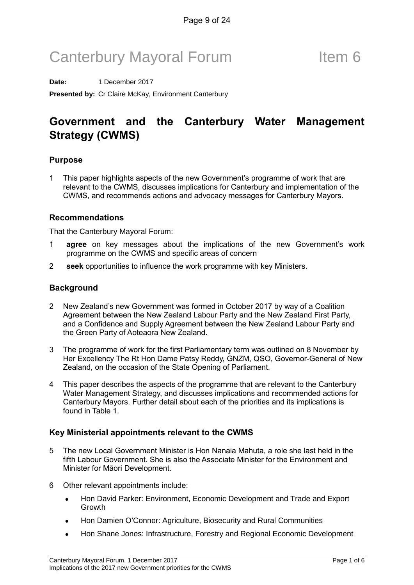# Canterbury Mayoral Forum Theorem 6

**Date:** 1 December 2017 **Presented by:** Cr Claire McKay, Environment Canterbury

## Government and the Canterbury Water Management Strategy (CWMS)

#### Purpose

1 This paper highlights aspects of the new Government's programme of work that are relevant to the CWMS, discusses implications for Canterbury and implementation of the CWMS, and recommends actions and advocacy messages for Canterbury Mayors.

#### Recommendations

That the Canterbury Mayoral Forum:

- 1 **agree** on key messages about the implications of the new Government's work programme on the CWMS and specific areas of concern
- 2 seek opportunities to influence the work programme with key Ministers.

#### **Background**

- 2 New Zealand's new Government was formed in October 2017 by way of a Coalition Agreement between the New Zealand Labour Party and the New Zealand First Party, and a Confidence and Supply Agreement between the New Zealand Labour Party and the Green Party of Aoteaora New Zealand.
- 3 The programme of work for the first Parliamentary term was outlined on 8 November by Her Excellency The Rt Hon Dame Patsy Reddy, GNZM, QSO, Governor-General of New Zealand, on the occasion of the State Opening of Parliament.
- 4 This paper describes the aspects of the programme that are relevant to the Canterbury Water Management Strategy, and discusses implications and recommended actions for Canterbury Mayors. Further detail about each of the priorities and its implications is found in Table 1.

#### Key Ministerial appointments relevant to the CWMS

- 5 The new Local Government Minister is Hon Nanaia Mahuta, a role she last held in the fifth Labour Government. She is also the Associate Minister for the Environment and Minister for Māori Development.
- 6 Other relevant appointments include:
	- Hon David Parker: Environment, Economic Development and Trade and Export Growth
	- Hon Damien O'Connor: Agriculture, Biosecurity and Rural Communities
	- Hon Shane Jones: Infrastructure, Forestry and Regional Economic Development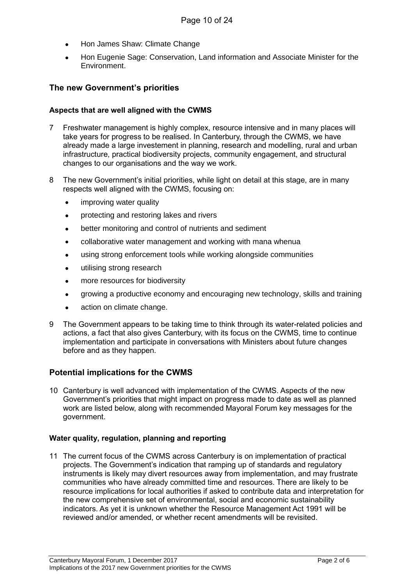- Hon James Shaw: Climate Change
- Hon Eugenie Sage: Conservation, Land information and Associate Minister for the Environment.

#### The new Government's priorities

#### Aspects that are well aligned with the CWMS

- 7 Freshwater management is highly complex, resource intensive and in many places will take years for progress to be realised. In Canterbury, through the CWMS, we have already made a large investement in planning, research and modelling, rural and urban infrastructure, practical biodiversity projects, community engagement, and structural changes to our organisations and the way we work.
- 8 The new Government's initial priorities, while light on detail at this stage, are in many respects well aligned with the CWMS, focusing on:
	- improving water quality
	- protecting and restoring lakes and rivers
	- better monitoring and control of nutrients and sediment
	- collaborative water management and working with mana whenua
	- using strong enforcement tools while working alongside communities
	- utilising strong research
	- more resources for biodiversity
	- growing a productive economy and encouraging new technology, skills and training
	- action on climate change.
- 9 The Government appears to be taking time to think through its water-related policies and actions, a fact that also gives Canterbury, with its focus on the CWMS, time to continue implementation and participate in conversations with Ministers about future changes before and as they happen.

#### Potential implications for the CWMS

10 Canterbury is well advanced with implementation of the CWMS. Aspects of the new Government's priorities that might impact on progress made to date as well as planned work are listed below, along with recommended Mayoral Forum key messages for the government.

#### Water quality, regulation, planning and reporting

11 The current focus of the CWMS across Canterbury is on implementation of practical projects. The Government's indication that ramping up of standards and regulatory instruments is likely may divert resources away from implementation, and may frustrate communities who have already committed time and resources. There are likely to be resource implications for local authorities if asked to contribute data and interpretation for the new comprehensive set of environmental, social and economic sustainability indicators. As yet it is unknown whether the Resource Management Act 1991 will be reviewed and/or amended, or whether recent amendments will be revisited.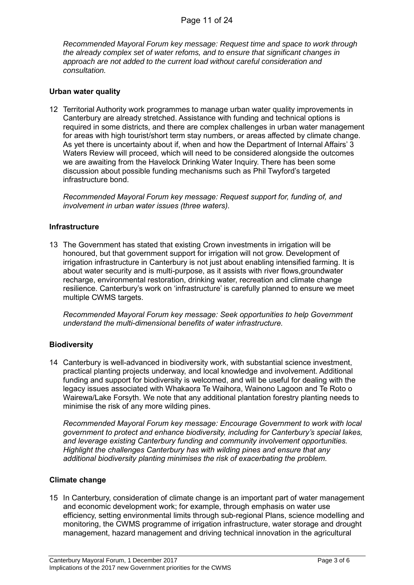*Recommended Mayoral Forum key message: Request time and space to work through the already complex set of water refoms, and to ensure that significant changes in approach are not added to the current load without careful consideration and consultation.*

#### Urban water quality

12 Territorial Authority work programmes to manage urban water quality improvements in Canterbury are already stretched. Assistance with funding and technical options is required in some districts, and there are complex challenges in urban water management for areas with high tourist/short term stay numbers, or areas affected by climate change. As yet there is uncertainty about if, when and how the Department of Internal Affairs' 3 Waters Review will proceed, which will need to be considered alongside the outcomes we are awaiting from the Havelock Drinking Water Inquiry. There has been some discussion about possible funding mechanisms such as Phil Twyford's targeted infrastructure bond.

Recommended Mayoral Forum key message: Request support for, funding of, and involvement in urban water issues (three waters).

#### **Infrastructure**

13 The Government has stated that existing Crown investments in irrigation will be honoured, but that government support for irrigation will not grow. Development of irrigation infrastructure in Canterbury is not just about enabling intensified farming. It is about water security and is multi-purpose, as it assists with river flows,groundwater recharge, environmental restoration, drinking water, recreation and climate change resilience. Canterbury's work on 'infrastructure' is carefully planned to ensure we meet multiple CWMS targets.

Recommended Mayoral Forum key message: Seek opportunities to help Government understand the multi-dimensional benefits of water infrastructure.

#### **Biodiversity**

14 Canterbury is well-advanced in biodiversity work, with substantial science investment, practical planting projects underway, and local knowledge and involvement. Additional funding and support for biodiversity is welcomed, and will be useful for dealing with the legacy issues associated with Whakaora Te Waihora, Wainono Lagoon and Te Roto o Wairewa/Lake Forsyth. We note that any additional plantation forestry planting needs to minimise the risk of any more wilding pines.

Recommended Mayoral Forum key message: Encourage Government to work with local government to protect and enhance biodiversity, including for Canterbury's special lakes, and leverage existing Canterbury funding and community involvement opportunities. Highlight the challenges Canterbury has with wilding pines and ensure that any additional biodiversity planting minimises the risk of exacerbating the problem.

#### Climate change

15 In Canterbury, consideration of climate change is an important part of water management and economic development work; for example, through emphasis on water use efficiency, setting environmental limits through sub-regional Plans, science modelling and monitoring, the CWMS programme of irrigation infrastructure, water storage and drought management, hazard management and driving technical innovation in the agricultural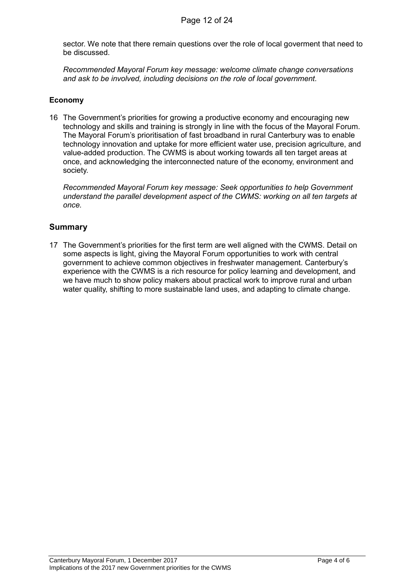sector. We note that there remain questions over the role of local goverment that need to be discussed.

Recommended Mayoral Forum key message: welcome climate change conversations and ask to be involved, including decisions on the role of local government.

#### Economy

16 The Government's priorities for growing a productive economy and encouraging new technology and skills and training is strongly in line with the focus of the Mayoral Forum. The Mayoral Forum's prioritisation of fast broadband in rural Canterbury was to enable technology innovation and uptake for more efficient water use, precision agriculture, and value-added production. The CWMS is about working towards all ten target areas at once, and acknowledging the interconnected nature of the economy, environment and society.

Recommended Mayoral Forum key message: Seek opportunities to help Government understand the parallel development aspect of the CWMS: working on all ten targets at once.

#### Summary

17 The Government's priorities for the first term are well aligned with the CWMS. Detail on some aspects is light, giving the Mayoral Forum opportunities to work with central government to achieve common objectives in freshwater management. Canterbury's experience with the CWMS is a rich resource for policy learning and development, and we have much to show policy makers about practical work to improve rural and urban water quality, shifting to more sustainable land uses, and adapting to climate change.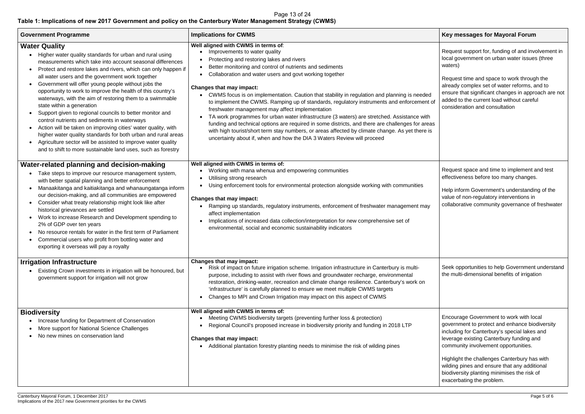#### **Key messages for Mayoral Forum**

Request support for, funding of and involvement in local government on urban water issues (three waters)

Request time and space to work through the already complex set of water reforms, and to ensure that significant changes in approach are not added to the current load without careful consideration and consultation

| <b>Government Programme</b>                                                                                                                                                                                                                                                                                                                                                                                                                                                                                                                                                                                                                                                                                                                                                                                                                                                                                                                    | <b>Implications for CWMS</b>                                                                                                                                                                                                                                                                                                                                                                                                                                                                                                                                                                                                                                                                                                                                                                                                                                                                                 |  |  |
|------------------------------------------------------------------------------------------------------------------------------------------------------------------------------------------------------------------------------------------------------------------------------------------------------------------------------------------------------------------------------------------------------------------------------------------------------------------------------------------------------------------------------------------------------------------------------------------------------------------------------------------------------------------------------------------------------------------------------------------------------------------------------------------------------------------------------------------------------------------------------------------------------------------------------------------------|--------------------------------------------------------------------------------------------------------------------------------------------------------------------------------------------------------------------------------------------------------------------------------------------------------------------------------------------------------------------------------------------------------------------------------------------------------------------------------------------------------------------------------------------------------------------------------------------------------------------------------------------------------------------------------------------------------------------------------------------------------------------------------------------------------------------------------------------------------------------------------------------------------------|--|--|
| <b>Water Quality</b><br>Higher water quality standards for urban and rural using<br>$\bullet$<br>measurements which take into account seasonal differences<br>Protect and restore lakes and rivers, which can only happen if<br>$\bullet$<br>all water users and the government work together<br>Government will offer young people without jobs the<br>$\bullet$<br>opportunity to work to improve the health of this country's<br>waterways, with the aim of restoring them to a swimmable<br>state within a generation<br>Support given to regional councils to better monitor and<br>$\bullet$<br>control nutrients and sediments in waterways<br>Action will be taken on improving cities' water quality, with<br>$\bullet$<br>higher water quality standards for both urban and rural areas<br>Agriculture sector will be assisted to improve water quality<br>$\bullet$<br>and to shift to more sustainable land uses, such as forestry | Well aligned with CWMS in terms of:<br>Improvements to water quality<br>Protecting and restoring lakes and rivers<br>Better monitoring and control of nutrients and sediments<br>Collaboration and water users and govt working together<br><b>Changes that may impact:</b><br>CWMS focus is on implementation. Caution that stability in regulation and planning is needed<br>to implement the CWMS. Ramping up of standards, regulatory instruments and enforcement of<br>freshwater management may affect implementation<br>TA work programmes for urban water infrastructure (3 waters) are stretched. Assistance with<br>funding and technical options are required in some districts, and there are challenges for areas<br>with high tourist/short term stay numbers, or areas affected by climate change. As yet there is<br>uncertainty about if, when and how the DIA 3 Waters Review will proceed |  |  |
| Water-related planning and decision-making<br>Take steps to improve our resource management system,<br>$\bullet$<br>with better spatial planning and better enforcement<br>Manaakitanga and kaitiakitanga and whanaungatanga inform<br>$\bullet$<br>our decision-making, and all communities are empowered<br>Consider what treaty relationship might look like after<br>$\bullet$<br>historical grievances are settled<br>Work to increase Research and Development spending to<br>$\bullet$<br>2% of GDP over ten years<br>No resource rentals for water in the first term of Parliament<br>$\bullet$<br>Commercial users who profit from bottling water and<br>$\bullet$<br>exporting it overseas will pay a royalty                                                                                                                                                                                                                        | Well aligned with CWMS in terms of:<br>Working with mana whenua and empowering communities<br>Utilising strong research<br>Using enforcement tools for environmental protection alongside working with communities<br><b>Changes that may impact:</b><br>Ramping up standards, regulatory instruments, enforcement of freshwater management may<br>affect implementation<br>Implications of increased data collection/interpretation for new comprehensive set of<br>environmental, social and economic sustainability indicators                                                                                                                                                                                                                                                                                                                                                                            |  |  |
| <b>Irrigation Infrastructure</b><br>Existing Crown investments in irrigation will be honoured, but<br>government support for irrigation will not grow                                                                                                                                                                                                                                                                                                                                                                                                                                                                                                                                                                                                                                                                                                                                                                                          | <b>Changes that may impact:</b><br>Risk of impact on future irrigation scheme. Irrigation infrastructure in Canterbury is multi-<br>purpose, including to assist with river flows and groundwater recharge, environmental<br>restoration, drinking-water, recreation and climate change resilience. Canterbury's work on<br>'infrastructure' is carefully planned to ensure we meet multiple CWMS targets<br>Changes to MPI and Crown Irrigation may impact on this aspect of CWMS                                                                                                                                                                                                                                                                                                                                                                                                                           |  |  |
| <b>Biodiversity</b><br>Increase funding for Department of Conservation<br>More support for National Science Challenges<br>٠<br>No new mines on conservation land                                                                                                                                                                                                                                                                                                                                                                                                                                                                                                                                                                                                                                                                                                                                                                               | Well aligned with CWMS in terms of:<br>Meeting CWMS biodiversity targets (preventing further loss & protection)<br>Regional Council's proposed increase in biodiversity priority and funding in 2018 LTP<br>Changes that may impact:<br>• Additional plantation forestry planting needs to minimise the risk of wilding pines                                                                                                                                                                                                                                                                                                                                                                                                                                                                                                                                                                                |  |  |

#### Table 1: Implications of new 2017 Government and policy on the Canterbury Water Management Strategy (CWMS) Page 13 of 24

Request space and time to implement and test effectiveness before too many changes.

Help inform Government's understanding of the value of non-regulatory interventions in collaborative community governance of freshwater

Seek opportunities to help Government understand the multi-dimensional benefits of irrigation

Encourage Government to work with local government to protect and enhance biodiversity including for Canterbury's special lakes and leverage existing Canterbury funding and community involvement opportunities.

Highlight the challenges Canterbury has with wilding pines and ensure that any additional biodiversity planting minimises the risk of exacerbating the problem.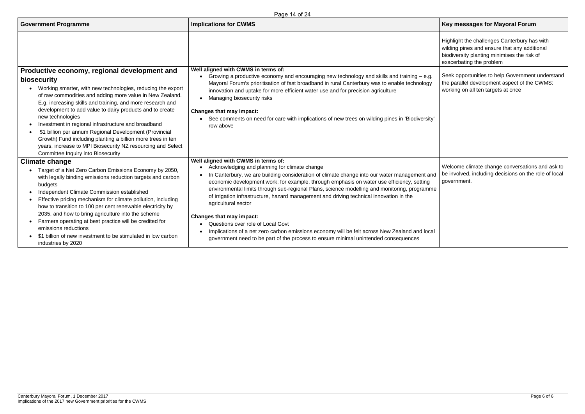### **Key messages for Mayoral Forum**

Highlight the challenges Canterbury has with wilding pines and ensure that any additional biodiversity planting minimises the risk of exacerbating the problem

Seek opportunities to help Government understand the parallel development aspect of the CWMS: working on all ten targets at once

| <b>Government Programme</b>                                                                                                                                                                                                                                                                                                                                                                                                                                                                                                                                                                                                      | <b>Implications for CWMS</b>                                                                                                                                                                                                                                                                                                                                                                                                                                                                                                                                                                                                                                                                                                              |  |  |  |
|----------------------------------------------------------------------------------------------------------------------------------------------------------------------------------------------------------------------------------------------------------------------------------------------------------------------------------------------------------------------------------------------------------------------------------------------------------------------------------------------------------------------------------------------------------------------------------------------------------------------------------|-------------------------------------------------------------------------------------------------------------------------------------------------------------------------------------------------------------------------------------------------------------------------------------------------------------------------------------------------------------------------------------------------------------------------------------------------------------------------------------------------------------------------------------------------------------------------------------------------------------------------------------------------------------------------------------------------------------------------------------------|--|--|--|
| Productive economy, regional development and<br>biosecurity<br>Working smarter, with new technologies, reducing the export<br>of raw commodities and adding more value in New Zealand.<br>E.g. increasing skills and training, and more research and<br>development to add value to dairy products and to create<br>new technologies<br>Investment in regional infrastructure and broadband<br>\$1 billion per annum Regional Development (Provincial<br>Growth) Fund including planting a billion more trees in ten<br>years, increase to MPI Biosecurity NZ resourcing and Select<br><b>Committee Inquiry into Biosecurity</b> | Well aligned with CWMS in terms of:<br>Growing a productive economy and encouraging new technology and skills and training – e.g.<br>Mayoral Forum's prioritisation of fast broadband in rural Canterbury was to enable technology<br>innovation and uptake for more efficient water use and for precision agriculture<br>Managing biosecurity risks<br><b>Changes that may impact:</b><br>See comments on need for care with implications of new trees on wilding pines in 'Biodiversity'<br>row above                                                                                                                                                                                                                                   |  |  |  |
| <b>Climate change</b>                                                                                                                                                                                                                                                                                                                                                                                                                                                                                                                                                                                                            | Well aligned with CWMS in terms of:                                                                                                                                                                                                                                                                                                                                                                                                                                                                                                                                                                                                                                                                                                       |  |  |  |
| Target of a Net Zero Carbon Emissions Economy by 2050,<br>with legally binding emissions reduction targets and carbon<br>budgets<br>Independent Climate Commission established<br>Effective pricing mechanism for climate pollution, including<br>how to transition to 100 per cent renewable electricity by<br>2035, and how to bring agriculture into the scheme<br>Farmers operating at best practice will be credited for<br>emissions reductions<br>\$1 billion of new investment to be stimulated in low carbon<br>industries by 2020                                                                                      | Acknowledging and planning for climate change<br>$\bullet$<br>In Canterbury, we are building consideration of climate change into our water management and<br>economic development work; for example, through emphasis on water use efficiency, setting<br>environmental limits through sub-regional Plans, science modelling and monitoring, programme<br>of irrigation infrastructure, hazard management and driving technical innovation in the<br>agricultural sector<br><b>Changes that may impact:</b><br>Questions over role of Local Govt<br>Implications of a net zero carbon emissions economy will be felt across New Zealand and local<br>government need to be part of the process to ensure minimal unintended consequences |  |  |  |

Welcome climate change conversations and ask to be involved, including decisions on the role of local government.

Page 14 of 24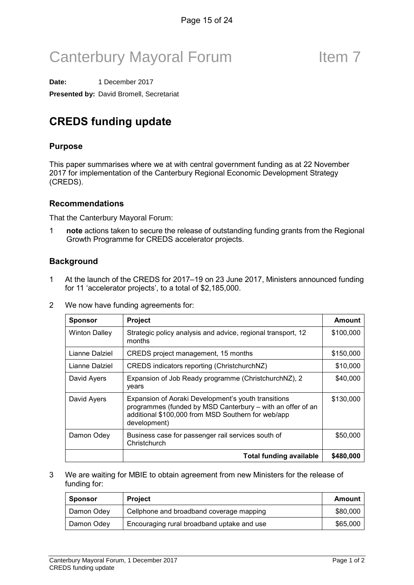# Canterbury Mayoral Forum Theorem 7

**Date:** 1 December 2017 **Presented by:** David Bromell, Secretariat

## CREDS funding update

#### Purpose

This paper summarises where we at with central government funding as at 22 November 2017 for implementation of the Canterbury Regional Economic Development Strategy (CREDS).

#### Recommendations

That the Canterbury Mayoral Forum:

1 note actions taken to secure the release of outstanding funding grants from the Regional Growth Programme for CREDS accelerator projects.

### **Background**

- 1 At the launch of the CREDS for 2017–19 on 23 June 2017, Ministers announced funding for 11 'accelerator projects', to a total of \$2,185,000.
- 2 We now have funding agreements for:

| <b>Sponsor</b>       | <b>Project</b>                                                                                                                                                                          | Amount    |
|----------------------|-----------------------------------------------------------------------------------------------------------------------------------------------------------------------------------------|-----------|
| <b>Winton Dalley</b> | Strategic policy analysis and advice, regional transport, 12<br>months                                                                                                                  |           |
| Lianne Dalziel       | CREDS project management, 15 months                                                                                                                                                     | \$150,000 |
| Lianne Dalziel       | CREDS indicators reporting (ChristchurchNZ)                                                                                                                                             | \$10,000  |
| David Ayers          | Expansion of Job Ready programme (ChristchurchNZ), 2<br>years                                                                                                                           | \$40,000  |
| David Ayers          | Expansion of Aoraki Development's youth transitions<br>programmes (funded by MSD Canterbury – with an offer of an<br>additional \$100,000 from MSD Southern for web/app<br>development) | \$130,000 |
| Damon Odey           | Business case for passenger rail services south of<br>Christchurch                                                                                                                      |           |
|                      | <b>Total funding available</b>                                                                                                                                                          | \$480,000 |

3 We are waiting for MBIE to obtain agreement from new Ministers for the release of funding for:

| Sponsor    | <b>Project</b>                             | Amount   |
|------------|--------------------------------------------|----------|
| Damon Odey | Cellphone and broadband coverage mapping   | \$80,000 |
| Damon Odey | Encouraging rural broadband uptake and use | \$65,000 |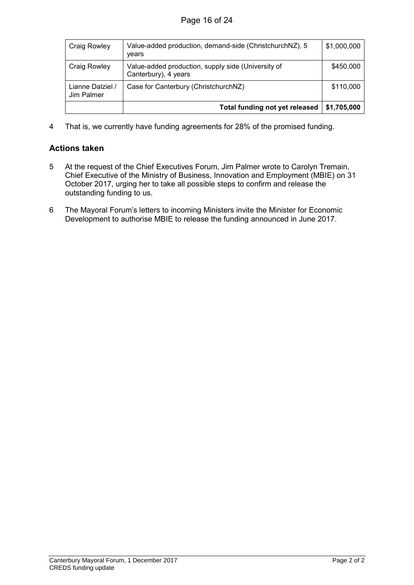| <b>Craig Rowley</b>            | Value-added production, demand-side (ChristchurchNZ), 5<br>vears           | \$1,000,000 |  |  |
|--------------------------------|----------------------------------------------------------------------------|-------------|--|--|
| Craig Rowley                   | Value-added production, supply side (University of<br>Canterbury), 4 years | \$450,000   |  |  |
| Lianne Dalziel /<br>Jim Palmer | Case for Canterbury (ChristchurchNZ)                                       |             |  |  |
|                                | <b>Total funding not yet released</b>                                      |             |  |  |

4 That is, we currently have funding agreements for 28% of the promised funding.

#### Actions taken

- 5 At the request of the Chief Executives Forum, Jim Palmer wrote to Carolyn Tremain, Chief Executive of the Ministry of Business, Innovation and Employment (MBIE) on 31 October 2017, urging her to take all possible steps to confirm and release the outstanding funding to us.
- 6 The Mayoral Forum's letters to incoming Ministers invite the Minister for Economic Development to authorise MBIE to release the funding announced in June 2017.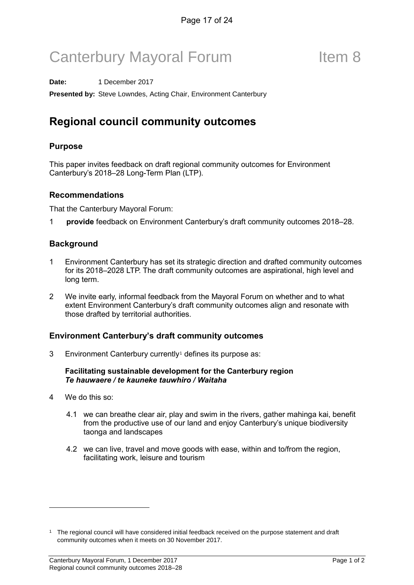# Canterbury Mayoral Forum Theorem 8

**Date:** 1 December 2017

**Presented by:** Steve Lowndes, Acting Chair, Environment Canterbury

## Regional council community outcomes

#### Purpose

This paper invites feedback on draft regional community outcomes for Environment Canterbury's 2018–28 Long-Term Plan (LTP).

#### Recommendations

That the Canterbury Mayoral Forum:

1 provide feedback on Environment Canterbury's draft community outcomes 2018–28.

#### **Background**

- 1 Environment Canterbury has set its strategic direction and drafted community outcomes for its 2018–2028 LTP. The draft community outcomes are aspirational, high level and long term.
- 2 We invite early, informal feedback from the Mayoral Forum on whether and to what extent Environment Canterbury's draft community outcomes align and resonate with those drafted by territorial authorities.

#### Environment Canterbury's draft community outcomes

3 Environment Canterbury currently<sup>[1](#page-16-0)</sup> defines its purpose as:

#### Facilitating sustainable development for the Canterbury region Te hauwaere / te kauneke tauwhiro / Waitaha

- 4 We do this so:
	- 4.1 we can breathe clear air, play and swim in the rivers, gather mahinga kai, benefit from the productive use of our land and enjoy Canterbury's unique biodiversity taonga and landscapes
	- 4.2 we can live, travel and move goods with ease, within and to/from the region, facilitating work, leisure and tourism

<span id="page-16-0"></span><sup>1</sup> The regional council will have considered initial feedback received on the purpose statement and draft community outcomes when it meets on 30 November 2017.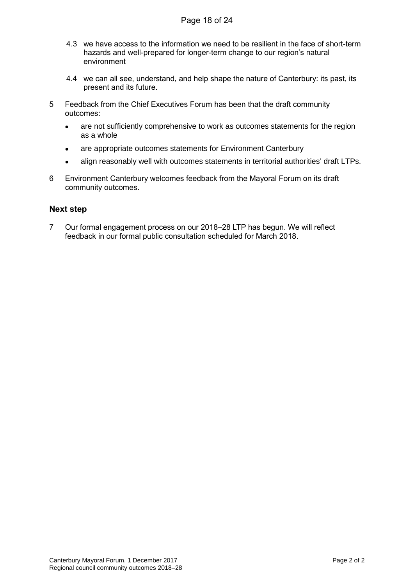- 4.3 we have access to the information we need to be resilient in the face of short-term hazards and well-prepared for longer-term change to our region's natural environment
- 4.4 we can all see, understand, and help shape the nature of Canterbury: its past, its present and its future.
- 5 Feedback from the Chief Executives Forum has been that the draft community outcomes:
	- are not sufficiently comprehensive to work as outcomes statements for the region as a whole
	- are appropriate outcomes statements for Environment Canterbury
	- align reasonably well with outcomes statements in territorial authorities' draft LTPs.
- 6 Environment Canterbury welcomes feedback from the Mayoral Forum on its draft community outcomes.

#### Next step

7 Our formal engagement process on our 2018–28 LTP has begun. We will reflect feedback in our formal public consultation scheduled for March 2018.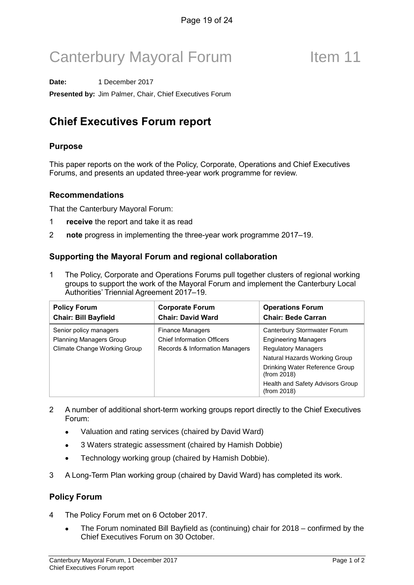# Canterbury Mayoral Forum Item 11

**Date:** 1 December 2017

**Presented by:** Jim Palmer, Chair, Chief Executives Forum

## Chief Executives Forum report

### Purpose

This paper reports on the work of the Policy, Corporate, Operations and Chief Executives Forums, and presents an updated three-year work programme for review.

#### Recommendations

That the Canterbury Mayoral Forum:

- 1 receive the report and take it as read
- 2 note progress in implementing the three-year work programme 2017–19.

### Supporting the Mayoral Forum and regional collaboration

1 The Policy, Corporate and Operations Forums pull together clusters of regional working groups to support the work of the Mayoral Forum and implement the Canterbury Local Authorities' Triennial Agreement 2017–19.

| <b>Policy Forum</b><br><b>Chair: Bill Bayfield</b> | <b>Corporate Forum</b><br><b>Chair: David Ward</b> | <b>Operations Forum</b><br><b>Chair: Bede Carran</b> |  |  |
|----------------------------------------------------|----------------------------------------------------|------------------------------------------------------|--|--|
| Senior policy managers                             | Finance Managers                                   | Canterbury Stormwater Forum                          |  |  |
| <b>Planning Managers Group</b>                     | <b>Chief Information Officers</b>                  | <b>Engineering Managers</b>                          |  |  |
| Climate Change Working Group                       | Records & Information Managers                     | <b>Regulatory Managers</b>                           |  |  |
|                                                    |                                                    | Natural Hazards Working Group                        |  |  |
|                                                    |                                                    | Drinking Water Reference Group<br>(from 2018)        |  |  |
|                                                    |                                                    | Health and Safety Advisors Group<br>(from 2018)      |  |  |

- 2 A number of additional short-term working groups report directly to the Chief Executives Forum:
	- Valuation and rating services (chaired by David Ward)
	- 3 Waters strategic assessment (chaired by Hamish Dobbie)
	- Technology working group (chaired by Hamish Dobbie).
- 3 A Long-Term Plan working group (chaired by David Ward) has completed its work.

### Policy Forum

- 4 The Policy Forum met on 6 October 2017.
	- The Forum nominated Bill Bayfield as (continuing) chair for 2018 confirmed by the Chief Executives Forum on 30 October.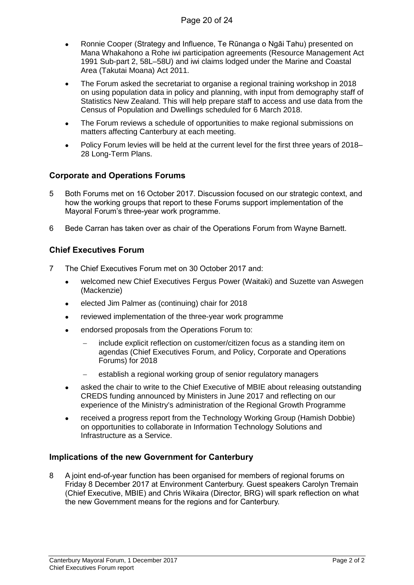- Ronnie Cooper (Strategy and Influence, Te Rūnanga o Ngāi Tahu) presented on Mana Whakahono a Rohe iwi participation agreements (Resource Management Act 1991 Sub-part 2, 58L–58U) and iwi claims lodged under the Marine and Coastal Area (Takutai Moana) Act 2011.
- The Forum asked the secretariat to organise a regional training workshop in 2018 on using population data in policy and planning, with input from demography staff of Statistics New Zealand. This will help prepare staff to access and use data from the Census of Population and Dwellings scheduled for 6 March 2018.
- The Forum reviews a schedule of opportunities to make regional submissions on matters affecting Canterbury at each meeting.
- Policy Forum levies will be held at the current level for the first three years of 2018– 28 Long-Term Plans.

#### Corporate and Operations Forums

- 5 Both Forums met on 16 October 2017. Discussion focused on our strategic context, and how the working groups that report to these Forums support implementation of the Mayoral Forum's three-year work programme.
- 6 Bede Carran has taken over as chair of the Operations Forum from Wayne Barnett.

#### Chief Executives Forum

- 7 The Chief Executives Forum met on 30 October 2017 and:
	- welcomed new Chief Executives Fergus Power (Waitaki) and Suzette van Aswegen (Mackenzie)
	- elected Jim Palmer as (continuing) chair for 2018
	- reviewed implementation of the three-year work programme
	- endorsed proposals from the Operations Forum to:
		- − include explicit reflection on customer/citizen focus as a standing item on agendas (Chief Executives Forum, and Policy, Corporate and Operations Forums) for 2018
		- establish a regional working group of senior regulatory managers
	- asked the chair to write to the Chief Executive of MBIE about releasing outstanding CREDS funding announced by Ministers in June 2017 and reflecting on our experience of the Ministry's administration of the Regional Growth Programme
	- received a progress report from the Technology Working Group (Hamish Dobbie) on opportunities to collaborate in Information Technology Solutions and Infrastructure as a Service.

#### Implications of the new Government for Canterbury

8 A joint end-of-year function has been organised for members of regional forums on Friday 8 December 2017 at Environment Canterbury. Guest speakers Carolyn Tremain (Chief Executive, MBIE) and Chris Wikaira (Director, BRG) will spark reflection on what the new Government means for the regions and for Canterbury.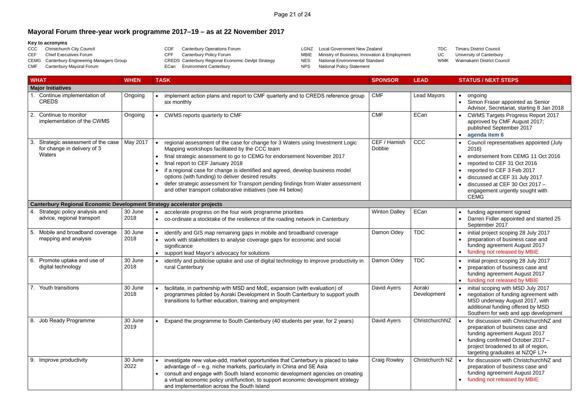### **Mayoral Forum three-year work programme 2017–19 – as at 22 November 2017**

#### **Key to acronyms**

- CCC Christchurch City Council<br>CEF Chief Executives Forum Chief Executives Forum CEMG Canterbury Engineering Managers Group CMF Canterbury Mayoral Forum COF Canterbury Operations Forum<br>CPF Canterbury Policy Forum Canterbury Policy Forum CREDS Canterbury Regional Economic Devlpt Strategy ECan Environment Canterbury
- LGNZ Local Government New Zealand<br>MBIE Ministry of Business, Innovation &
	- MBIE Ministry of Business, Innovation & Employment<br>NES National Environmental Standard
	- National Environmental Standard
	- NPS National Policy Statement

|              | <b>WHAT</b>                                                                   | <b>WHEN</b>     | <b>TASK</b>                                                                                                                                                                                                                                                                                                                                                                                                                                                                                                                                          | <b>SPONSOR</b>         | <b>LEAD</b>           | <b>STATUS / NEXT STEPS</b>                                                                                                                                                                                                                                              |
|--------------|-------------------------------------------------------------------------------|-----------------|------------------------------------------------------------------------------------------------------------------------------------------------------------------------------------------------------------------------------------------------------------------------------------------------------------------------------------------------------------------------------------------------------------------------------------------------------------------------------------------------------------------------------------------------------|------------------------|-----------------------|-------------------------------------------------------------------------------------------------------------------------------------------------------------------------------------------------------------------------------------------------------------------------|
|              | <b>Major Initiatives</b>                                                      |                 |                                                                                                                                                                                                                                                                                                                                                                                                                                                                                                                                                      |                        |                       |                                                                                                                                                                                                                                                                         |
|              | Continue implementation of<br><b>CREDS</b>                                    | Ongoing         | implement action plans and report to CMF quarterly and to CREDS reference group<br>six monthly                                                                                                                                                                                                                                                                                                                                                                                                                                                       | <b>CMF</b>             | <b>Lead Mayors</b>    | ongoing<br>Simon Fraser appointed as Senior<br>Advisor, Secretariat, starting 8 Jan 201                                                                                                                                                                                 |
| 2.           | Continue to monitor<br>implementation of the CWMS                             | Ongoing         | CWMS reports quarterly to CMF<br>$\bullet$                                                                                                                                                                                                                                                                                                                                                                                                                                                                                                           | <b>CMF</b>             | ECan                  | <b>CWMS Targets Progress Report 2017</b><br>approved by CMF August 2017;<br>published September 2017<br>agenda item 6                                                                                                                                                   |
| 3            | Strategic assessment of the case<br>for change in delivery of 3<br>Waters     | May 2017        | regional assessment of the case for change for 3 Waters using Investment Logic<br>Mapping workshops facilitated by the CCC team<br>final strategic assessment to go to CEMG for endorsement November 2017<br>$\bullet$<br>final report to CEF January 2018<br>if a regional case for change is identified and agreed, develop business model<br>options (with funding) to deliver desired results<br>defer strategic assessment for Transport pending findings from Water assessment<br>and other transport collaborative initiatives (see #4 below) | CEF / Hamish<br>Dobbie | CCC                   | Council representatives appointed (July<br>2016)<br>endorsement from CEMG 11 Oct 2016<br>reported to CEF 31 Oct 2016<br>reported to CEF 3 Feb 2017<br>discussed at CEF 31 July 2017<br>discussed at CEF 30 Oct 2017 -<br>engagement urgently sought with<br><b>CEMG</b> |
|              | <b>Canterbury Regional Economic Development Strategy accelerator projects</b> |                 |                                                                                                                                                                                                                                                                                                                                                                                                                                                                                                                                                      |                        |                       |                                                                                                                                                                                                                                                                         |
| $\mathbf{4}$ | Strategic policy analysis and<br>advice, regional transport                   | 30 June<br>2018 | accelerate progress on the four work programme priorities<br>$\bullet$<br>co-ordinate a stocktake of the resilience of the roading network in Canterbury                                                                                                                                                                                                                                                                                                                                                                                             | <b>Winton Dalley</b>   | ECan                  | funding agreement signed<br>Darren Fidler appointed and started 25<br>September 2017                                                                                                                                                                                    |
| 5.           | Mobile and broadband coverage<br>mapping and analysis                         | 30 June<br>2018 | identify and GIS map remaining gaps in mobile and broadband coverage<br>work with stakeholders to analyse coverage gaps for economic and social<br>significance<br>• support lead Mayor's advocacy for solutions                                                                                                                                                                                                                                                                                                                                     | Damon Odey             | <b>TDC</b>            | initial project scoping 28 July 2017<br>preparation of business case and<br>funding agreement August 2017<br>funding not released by MBIE                                                                                                                               |
| 6.           | Promote uptake and use of<br>digital technology                               | 30 June<br>2018 | identify and publicise uptake and use of digital technology to improve productivity in<br>rural Canterbury                                                                                                                                                                                                                                                                                                                                                                                                                                           | Damon Odey             | <b>TDC</b>            | initial project scoping 28 July 2017<br>preparation of business case and<br>funding agreement August 2017<br>funding not released by MBIE                                                                                                                               |
|              | Youth transitions                                                             | 30 June<br>2018 | facilitate, in partnership with MSD and MoE, expansion (with evaluation) of<br>programmes piloted by Aoraki Development in South Canterbury to support youth<br>transitions to further education, training and employment                                                                                                                                                                                                                                                                                                                            | David Ayers            | Aoraki<br>Development | initial scoping with MSD July 2017<br>negotiation of funding agreement with<br>$\bullet$<br>MSD underway August 2017, with<br>additional funding offered by MSD<br>Southern for web and app developmen                                                                  |
| 8.           | Job Ready Programme                                                           | 30 June<br>2019 | Expand the programme to South Canterbury (40 students per year, for 2 years)                                                                                                                                                                                                                                                                                                                                                                                                                                                                         | David Ayers            | ChristchurchNZ        | for discussion with ChristchurchNZ and<br>preparation of business case and<br>funding agreement August 2017<br>funding confirmed October 2017 -<br>project broadened to all of region,<br>targeting graduates at NZQF L7+                                               |
| 9.           | Improve productivity                                                          | 30 June<br>2022 | investigate new value-add, market opportunities that Canterbury is placed to take<br>advantage of – e.g. niche markets, particularly in China and SE Asia<br>consult and engage with South Island economic development agencies on creating<br>$\bullet$<br>a virtual economic policy unit/function, to support economic development strategy<br>and implementation across the South Island                                                                                                                                                          | <b>Craig Rowley</b>    | Christchurch NZ       | for discussion with ChristchurchNZ and<br>preparation of business case and<br>funding agreement August 2017<br>funding not released by MBIE                                                                                                                             |

TDC Timaru District Council<br>UC University of Canterbury UC University of Canterbury<br>WMK Waimakariri District Cour Waimakariri District Council

| <b>SPONSOR</b>         | <b>LEAD</b>           | <b>STATUS / NEXT STEPS</b>                                                                                                                                                                                                                                                                                     |
|------------------------|-----------------------|----------------------------------------------------------------------------------------------------------------------------------------------------------------------------------------------------------------------------------------------------------------------------------------------------------------|
|                        |                       |                                                                                                                                                                                                                                                                                                                |
| <b>CMF</b>             | <b>Lead Mayors</b>    | ongoing<br>$\bullet$<br>Simon Fraser appointed as Senior<br>Advisor, Secretariat, starting 8 Jan 2018                                                                                                                                                                                                          |
| <b>CMF</b>             | ECan                  | <b>CWMS Targets Progress Report 2017</b><br>$\bullet$<br>approved by CMF August 2017;<br>published September 2017<br>agenda item 6<br>٠                                                                                                                                                                        |
| CEF / Hamish<br>Dobbie | CCC                   | Council representatives appointed (July<br>$\bullet$<br>2016)<br>endorsement from CEMG 11 Oct 2016<br>$\bullet$<br>reported to CEF 31 Oct 2016<br>reported to CEF 3 Feb 2017<br>$\bullet$<br>discussed at CEF 31 July 2017<br>discussed at CEF 30 Oct 2017 -<br>engagement urgently sought with<br><b>CEMG</b> |
|                        |                       |                                                                                                                                                                                                                                                                                                                |
| <b>Winton Dalley</b>   | ECan                  | funding agreement signed<br>٠<br>Darren Fidler appointed and started 25<br>$\bullet$<br>September 2017                                                                                                                                                                                                         |
| Damon Odey             | <b>TDC</b>            | initial project scoping 28 July 2017<br>$\bullet$<br>preparation of business case and<br>funding agreement August 2017<br>funding not released by MBIE<br>$\bullet$                                                                                                                                            |
| Damon Odey             | <b>TDC</b>            | initial project scoping 28 July 2017<br>$\bullet$<br>preparation of business case and<br>٠<br>funding agreement August 2017<br>funding not released by MBIE<br>$\bullet$                                                                                                                                       |
| David Ayers            | Aoraki<br>Development | initial scoping with MSD July 2017<br>٠<br>negotiation of funding agreement with<br>MSD underway August 2017, with<br>additional funding offered by MSD<br>Southern for web and app development                                                                                                                |
| David Ayers            | ChristchurchNZ        | for discussion with ChristchurchNZ and<br>$\bullet$<br>preparation of business case and<br>funding agreement August 2017<br>funding confirmed October 2017 -<br>project broadened to all of region,<br>targeting graduates at NZQF L7+                                                                         |
| <b>Craig Rowley</b>    | Christchurch NZ       | for discussion with ChristchurchNZ and<br>$\bullet$<br>preparation of business case and<br>funding agreement August 2017<br>funding not released by MBIE                                                                                                                                                       |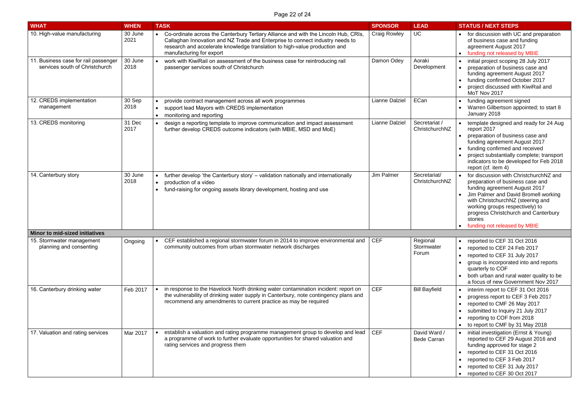| <b>WHAT</b>                                                            | <b>WHEN</b>     | <b>TASK</b>                                                                                                                                                                                                                                                                    | <b>SPONSOR</b>        | <b>LEAD</b>                        | <b>STATUS / NEXT STEPS</b>                                                                                                                                                                                                                                                                                     |
|------------------------------------------------------------------------|-----------------|--------------------------------------------------------------------------------------------------------------------------------------------------------------------------------------------------------------------------------------------------------------------------------|-----------------------|------------------------------------|----------------------------------------------------------------------------------------------------------------------------------------------------------------------------------------------------------------------------------------------------------------------------------------------------------------|
| 10. High-value manufacturing                                           | 30 June<br>2021 | Co-ordinate across the Canterbury Tertiary Alliance and with the Lincoln Hub, CRIs,<br>Callaghan Innovation and NZ Trade and Enterprise to connect industry needs to<br>research and accelerate knowledge translation to high-value production and<br>manufacturing for export | <b>Craig Rowley</b>   | UC                                 | for discussion with UC and preparation<br>of business case and funding<br>agreement August 2017<br>funding not released by MBIE                                                                                                                                                                                |
| 11. Business case for rail passenger<br>services south of Christchurch | 30 June<br>2018 | work with KiwiRail on assessment of the business case for reintroducing rail<br>passenger services south of Christchurch                                                                                                                                                       | Damon Odey            | Aoraki<br>Development              | initial project scoping 28 July 2017<br>preparation of business case and<br>funding agreement August 2017<br>funding confirmed October 2017<br>project discussed with KiwiRail and<br>MoT Nov 2017                                                                                                             |
| 12. CREDS implementation<br>management                                 | 30 Sep<br>2018  | provide contract management across all work programmes<br>support lead Mayors with CREDS implementation<br>$\bullet$<br>monitoring and reporting<br>$\bullet$                                                                                                                  | <b>Lianne Dalziel</b> | ECan                               | funding agreement signed<br>Warren Gilbertson appointed; to start 8<br>January 2018                                                                                                                                                                                                                            |
| 13. CREDS monitoring                                                   | 31 Dec<br>2017  | design a reporting template to improve communication and impact assessment<br>further develop CREDS outcome indicators (with MBIE, MSD and MoE)                                                                                                                                | <b>Lianne Dalziel</b> | Secretariat /<br>ChristchurchNZ    | template designed and ready for 24 Aug<br>report 2017<br>preparation of business case and<br>funding agreement August 2017<br>funding confirmed and received<br>project substantially complete; transport<br>indicators to be developed for Feb 2018<br>report (cf. item 4)                                    |
| 14. Canterbury story                                                   | 30 June<br>2018 | further develop 'the Canterbury story' – validation nationally and internationally<br>production of a video<br>fund-raising for ongoing assets library development, hosting and use<br>$\bullet$                                                                               | Jim Palmer            | Secretariat/<br>ChristchurchNZ     | for discussion with ChristchurchNZ and<br>preparation of business case and<br>funding agreement August 2017<br>Jim Palmer and David Bromell working<br>with ChristchurchNZ (steering and<br>working groups respectively) to<br>progress Christchurch and Canterbury<br>stories<br>funding not released by MBIE |
| <b>Minor to mid-sized initiatives</b>                                  |                 |                                                                                                                                                                                                                                                                                |                       |                                    |                                                                                                                                                                                                                                                                                                                |
| 15. Stormwater management<br>planning and consenting                   | Ongoing         | CEF established a regional stormwater forum in 2014 to improve environmental and $\vert$ CEF<br>community outcomes from urban stormwater network discharges                                                                                                                    |                       | Regional<br>Stormwater<br>Forum    | reported to CEF 31 Oct 2016<br>reported to CEF 24 Feb 2017<br>reported to CEF 31 July 2017<br>group is incorporated into and reports<br>quarterly to COF<br>both urban and rural water quality to be<br>a focus of new Government Nov 2017                                                                     |
| 16. Canterbury drinking water                                          | Feb 2017        | in response to the Havelock North drinking water contamination incident: report on<br>the vulnerability of drinking water supply in Canterbury, note contingency plans and<br>recommend any amendments to current practice as may be required                                  | <b>CEF</b>            | <b>Bill Bayfield</b>               | interim report to CEF 31 Oct 2016<br>progress report to CEF 3 Feb 2017<br>reported to CMF 26 May 2017<br>submitted to Inquiry 21 July 2017<br>reporting to COF from 2018<br>to report to CMF by 31 May 2018                                                                                                    |
| 17. Valuation and rating services                                      | Mar 2017        | establish a valuation and rating programme management group to develop and lead<br>a programme of work to further evaluate opportunities for shared valuation and<br>rating services and progress them                                                                         | <b>CEF</b>            | David Ward /<br><b>Bede Carran</b> | initial investigation (Ernst & Young)<br>reported to CEF 29 August 2016 and<br>funding approved for stage 2<br>reported to CEF 31 Oct 2016<br>reported to CEF 3 Feb 2017<br>reported to CEF 31 July 2017<br>reported to CEF 30 Oct 2017                                                                        |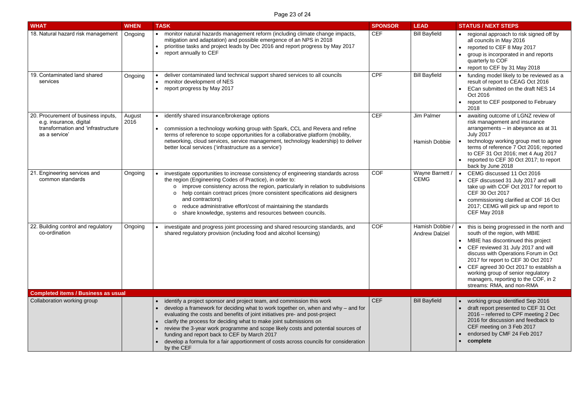| <b>WHAT</b>                                                                                                           | <b>WHEN</b>    | <b>TASK</b>                                                                                                                                                                                                                                                                                                                                                                                                                                                                                                                                                 | <b>SPONSOR</b> | <b>LEAD</b>                            | <b>STATUS / NEXT STEPS</b>                                                                                                                                                                                                                                                                                                                                                                |
|-----------------------------------------------------------------------------------------------------------------------|----------------|-------------------------------------------------------------------------------------------------------------------------------------------------------------------------------------------------------------------------------------------------------------------------------------------------------------------------------------------------------------------------------------------------------------------------------------------------------------------------------------------------------------------------------------------------------------|----------------|----------------------------------------|-------------------------------------------------------------------------------------------------------------------------------------------------------------------------------------------------------------------------------------------------------------------------------------------------------------------------------------------------------------------------------------------|
| 18. Natural hazard risk management                                                                                    | Ongoing        | monitor natural hazards management reform (including climate change impacts,<br>mitigation and adaptation) and possible emergence of an NPS in 2018<br>prioritise tasks and project leads by Dec 2016 and report progress by May 2017<br>report annually to CEF                                                                                                                                                                                                                                                                                             | <b>CEF</b>     | <b>Bill Bayfield</b>                   | regional approach to risk signed off by<br>all councils in May 2016<br>reported to CEF 8 May 2017<br>group is incorporated in and reports<br>quarterly to COF<br>report to CEF by 31 May 2018                                                                                                                                                                                             |
| 19. Contaminated land shared<br>services                                                                              | Ongoing        | deliver contaminated land technical support shared services to all councils<br>monitor development of NES<br>$\bullet$<br>report progress by May 2017<br>$\bullet$                                                                                                                                                                                                                                                                                                                                                                                          | <b>CPF</b>     | <b>Bill Bayfield</b>                   | funding model likely to be reviewed as a<br>result of report to CEAG Oct 2016<br>ECan submitted on the draft NES 14<br>Oct 2016<br>report to CEF postponed to February<br>2018                                                                                                                                                                                                            |
| 20. Procurement of business inputs,<br>e.g. insurance, digital<br>transformation and 'infrastructure<br>as a service' | August<br>2016 | identify shared insurance/brokerage options<br>commission a technology working group with Spark, CCL and Revera and refine<br>terms of reference to scope opportunities for a collaborative platform (mobility,<br>networking, cloud services, service management, technology leadership) to deliver<br>better local services ('infrastructure as a service')                                                                                                                                                                                               | <b>CEF</b>     | Jim Palmer<br>Hamish Dobbie            | awaiting outcome of LGNZ review of<br>risk management and insurance<br>arrangements - in abeyance as at 31<br><b>July 2017</b><br>technology working group met to agree<br>terms of reference 7 Oct 2016; reported<br>to CEF 31 Oct 2016; met 4 Aug 2017<br>reported to CEF 30 Oct 2017; to report<br>back by June 2018                                                                   |
| . Engineering services and<br>21<br>common standards                                                                  | Ongoing        | investigate opportunities to increase consistency of engineering standards across<br>the region (Engineering Codes of Practice), in order to:<br>improve consistency across the region, particularly in relation to subdivisions<br>$\circ$<br>help contain contract prices (more consistent specifications aid designers<br>$\circ$<br>and contractors)<br>reduce administrative effort/cost of maintaining the standards<br>share knowledge, systems and resources between councils.<br>$\circ$                                                           | <b>COF</b>     | Wayne Barnett /<br><b>CEMG</b>         | CEMG discussed 11 Oct 2016<br>CEF discussed 31 July 2017 and will<br>take up with COF Oct 2017 for report to<br>CEF 30 Oct 2017<br>commissioning clarified at COF 16 Oct<br>2017; CEMG will pick up and report to<br><b>CEF May 2018</b>                                                                                                                                                  |
| 22. Building control and regulatory<br>co-ordination                                                                  | Ongoing        | investigate and progress joint processing and shared resourcing standards, and<br>shared regulatory provision (including food and alcohol licensing)                                                                                                                                                                                                                                                                                                                                                                                                        | <b>COF</b>     | Hamish Dobbie<br><b>Andrew Dalziel</b> | this is being progressed in the north and<br>south of the region, with MBIE<br>MBIE has discontinued this project<br>CEF reviewed 31 July 2017 and will<br>discuss with Operations Forum in Oct<br>2017 for report to CEF 30 Oct 2017<br>CEF agreed 30 Oct 2017 to establish a<br>working group of senior regulatory<br>managers, reporting to the COF, in 2<br>streams: RMA, and non-RMA |
| <b>Completed items / Business as usual</b>                                                                            |                |                                                                                                                                                                                                                                                                                                                                                                                                                                                                                                                                                             |                |                                        |                                                                                                                                                                                                                                                                                                                                                                                           |
| Collaboration working group                                                                                           |                | identify a project sponsor and project team, and commission this work<br>develop a framework for deciding what to work together on, when and why – and for<br>evaluating the costs and benefits of joint initiatives pre- and post-project<br>clarify the process for deciding what to make joint submissions on<br>review the 3-year work programme and scope likely costs and potential sources of<br>funding and report back to CEF by March 2017<br>develop a formula for a fair apportionment of costs across councils for consideration<br>by the CEF | <b>CEF</b>     | <b>Bill Bayfield</b>                   | working group identified Sep 2016<br>draft report presented to CEF 31 Oct<br>2016 – referred to CPF meeting 2 Dec<br>2016 for discussion and feedback to<br>CEF meeting on 3 Feb 2017<br>endorsed by CMF 24 Feb 2017<br>complete                                                                                                                                                          |